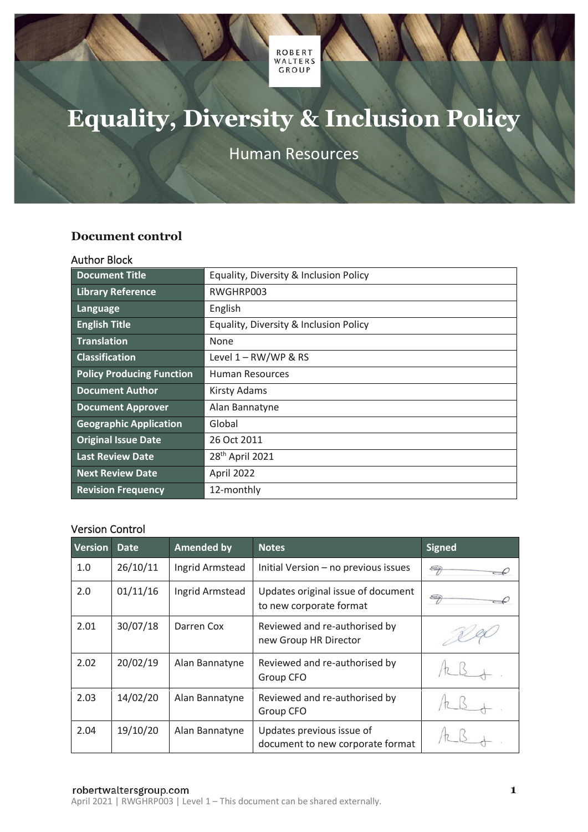ROBERT<br>WALTERS GROUP

# **Equality, Diversity & Inclusion Policy**

Human Resources

## <span id="page-0-0"></span>**Document control**

#### <span id="page-0-1"></span>Author Block

| <b>Document Title</b>            | Equality, Diversity & Inclusion Policy |  |  |
|----------------------------------|----------------------------------------|--|--|
| <b>Library Reference</b>         | RWGHRP003                              |  |  |
| Language                         | English                                |  |  |
| <b>English Title</b>             | Equality, Diversity & Inclusion Policy |  |  |
| <b>Translation</b>               | None                                   |  |  |
| <b>Classification</b>            | Level $1 - RW/WP$ & RS                 |  |  |
| <b>Policy Producing Function</b> | Human Resources                        |  |  |
| <b>Document Author</b>           | <b>Kirsty Adams</b>                    |  |  |
| <b>Document Approver</b>         | Alan Bannatyne                         |  |  |
| <b>Geographic Application</b>    | Global                                 |  |  |
| <b>Original Issue Date</b>       | 26 Oct 2011                            |  |  |
| <b>Last Review Date</b>          | 28 <sup>th</sup> April 2021            |  |  |
| <b>Next Review Date</b>          | April 2022                             |  |  |
| <b>Revision Frequency</b>        | 12-monthly                             |  |  |

#### <span id="page-0-2"></span>Version Control

| <b>Version</b> | <b>Date</b> | <b>Amended by</b> | <b>Notes</b>                                                  | <b>Signed</b> |
|----------------|-------------|-------------------|---------------------------------------------------------------|---------------|
| 1.0            | 26/10/11    | Ingrid Armstead   | Initial Version - no previous issues                          | S             |
| 2.0            | 01/11/16    | Ingrid Armstead   | Updates original issue of document<br>to new corporate format | S             |
| 2.01           | 30/07/18    | Darren Cox        | Reviewed and re-authorised by<br>new Group HR Director        |               |
| 2.02           | 20/02/19    | Alan Bannatyne    | Reviewed and re-authorised by<br>Group CFO                    |               |
| 2.03           | 14/02/20    | Alan Bannatyne    | Reviewed and re-authorised by<br>Group CFO                    |               |
| 2.04           | 19/10/20    | Alan Bannatyne    | Updates previous issue of<br>document to new corporate format |               |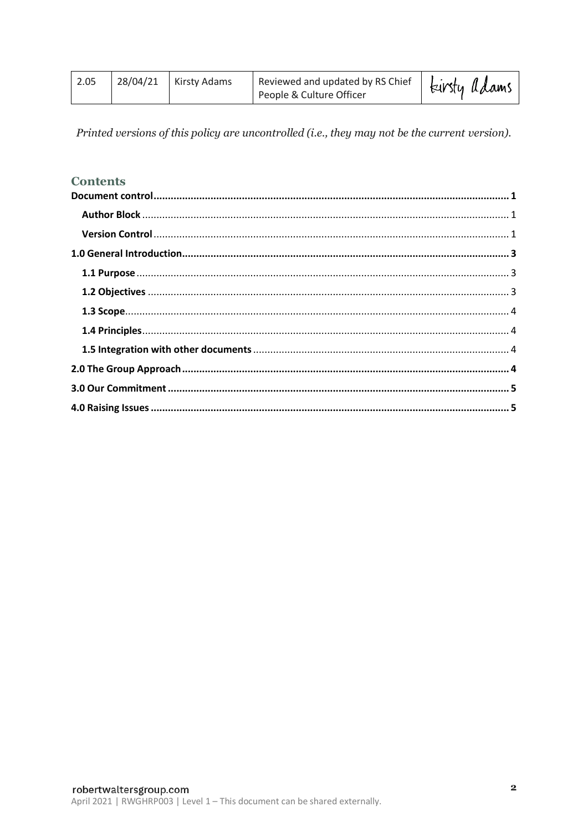| 2.05 |  | $28/04/21$ Kirsty Adams | Reviewed and updated by RS Chief<br>People & Culture Officer | Eirsty adams |
|------|--|-------------------------|--------------------------------------------------------------|--------------|
|------|--|-------------------------|--------------------------------------------------------------|--------------|

Printed versions of this policy are uncontrolled (i.e., they may not be the current version).

# **Contents**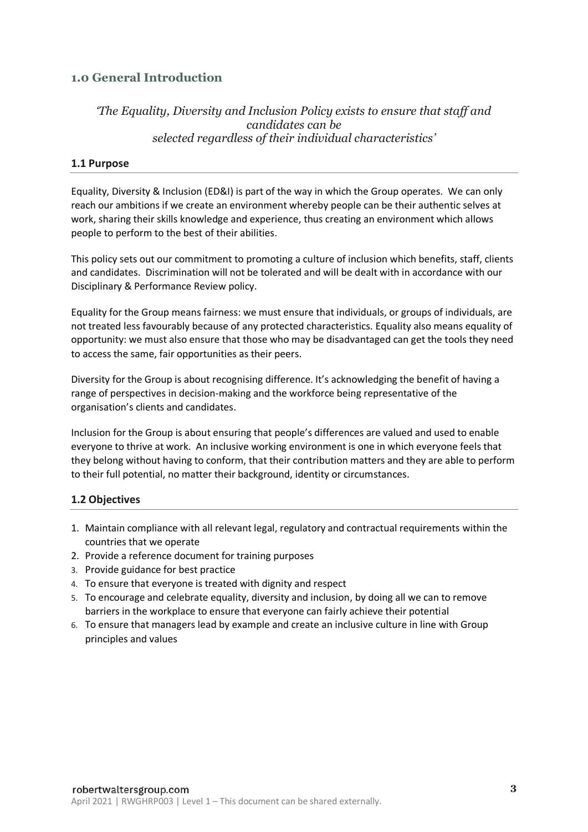# <span id="page-2-0"></span>**1.0 General Introduction**

## *'The Equality, Diversity and Inclusion Policy exists to ensure that staff and candidates can be selected regardless of their individual characteristics'*

#### <span id="page-2-1"></span>**1.1 Purpose**

Equality, Diversity & Inclusion (ED&I) is part of the way in which the Group operates. We can only reach our ambitions if we create an environment whereby people can be their authentic selves at work, sharing their skills knowledge and experience, thus creating an environment which allows people to perform to the best of their abilities.

This policy sets out our commitment to promoting a culture of inclusion which benefits, staff, clients and candidates. Discrimination will not be tolerated and will be dealt with in accordance with our Disciplinary & Performance Review policy.

Equality for the Group means fairness: we must ensure that individuals, or groups of individuals, are not treated less favourably because of any protected characteristics. Equality also means equality of opportunity: we must also ensure that those who may be disadvantaged can get the tools they need to access the same, fair opportunities as their peers.

Diversity for the Group is about recognising difference. It's acknowledging the benefit of having a range of perspectives in decision-making and the workforce being representative of the organisation's clients and candidates.

Inclusion for the Group is about ensuring that people's differences are valued and used to enable everyone to thrive at work. An inclusive working environment is one in which everyone feels that they belong without having to conform, that their contribution matters and they are able to perform to their full potential, no matter their background, identity or circumstances.

#### <span id="page-2-2"></span>**1.2 Objectives**

- 1. Maintain compliance with all relevant legal, regulatory and contractual requirements within the countries that we operate
- 2. Provide a reference document for training purposes
- 3. Provide guidance for best practice
- 4. To ensure that everyone is treated with dignity and respect
- 5. To encourage and celebrate equality, diversity and inclusion, by doing all we can to remove barriers in the workplace to ensure that everyone can fairly achieve their potential
- 6. To ensure that managers lead by example and create an inclusive culture in line with Group principles and values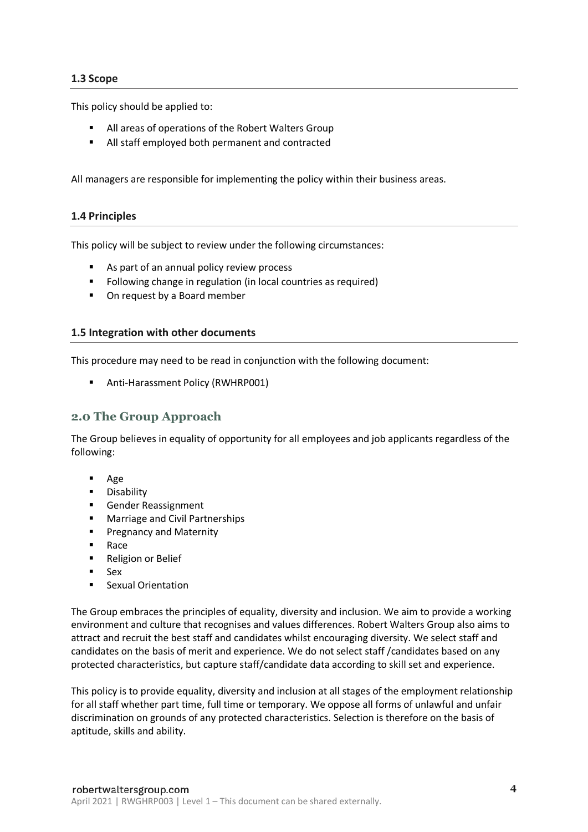#### <span id="page-3-0"></span>**1.3 Scope**

This policy should be applied to:

- All areas of operations of the Robert Walters Group
- All staff employed both permanent and contracted

All managers are responsible for implementing the policy within their business areas.

#### <span id="page-3-1"></span>**1.4 Principles**

This policy will be subject to review under the following circumstances:

- As part of an annual policy review process
- Following change in regulation (in local countries as required)
- On request by a Board member

#### <span id="page-3-2"></span>**1.5 Integration with other documents**

This procedure may need to be read in conjunction with the following document:

■ Anti-Harassment Policy (RWHRP001)

#### <span id="page-3-3"></span>**2.0 The Group Approach**

The Group believes in equality of opportunity for all employees and job applicants regardless of the following:

- Age
- Disability
- Gender Reassignment
- Marriage and Civil Partnerships
- Pregnancy and Maternity
- Race
- Religion or Belief
- **Sex**
- Sexual Orientation

The Group embraces the principles of equality, diversity and inclusion. We aim to provide a working environment and culture that recognises and values differences. Robert Walters Group also aims to attract and recruit the best staff and candidates whilst encouraging diversity. We select staff and candidates on the basis of merit and experience. We do not select staff /candidates based on any protected characteristics, but capture staff/candidate data according to skill set and experience.

This policy is to provide equality, diversity and inclusion at all stages of the employment relationship for all staff whether part time, full time or temporary. We oppose all forms of unlawful and unfair discrimination on grounds of any protected characteristics. Selection is therefore on the basis of aptitude, skills and ability.